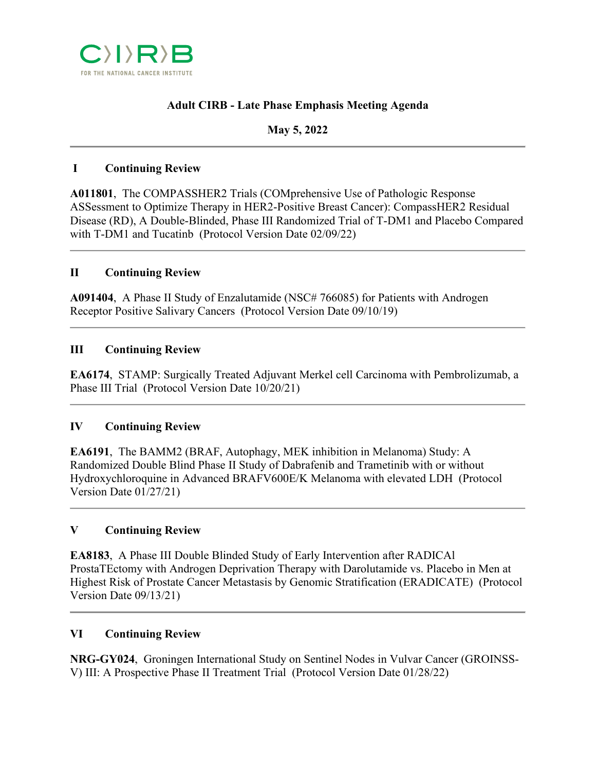

# **Adult CIRB - Late Phase Emphasis Meeting Agenda**

## **May 5, 2022**

### **I Continuing Review**

**A011801**, The COMPASSHER2 Trials (COMprehensive Use of Pathologic Response ASSessment to Optimize Therapy in HER2-Positive Breast Cancer): CompassHER2 Residual Disease (RD), A Double-Blinded, Phase III Randomized Trial of T-DM1 and Placebo Compared with T-DM1 and Tucatinb (Protocol Version Date 02/09/22)

## **II Continuing Review**

**A091404**, A Phase II Study of Enzalutamide (NSC# 766085) for Patients with Androgen Receptor Positive Salivary Cancers (Protocol Version Date 09/10/19)

#### **III Continuing Review**

**EA6174**, STAMP: Surgically Treated Adjuvant Merkel cell Carcinoma with Pembrolizumab, a Phase III Trial (Protocol Version Date 10/20/21)

#### **IV Continuing Review**

**EA6191**, The BAMM2 (BRAF, Autophagy, MEK inhibition in Melanoma) Study: A Randomized Double Blind Phase II Study of Dabrafenib and Trametinib with or without Hydroxychloroquine in Advanced BRAFV600E/K Melanoma with elevated LDH (Protocol Version Date 01/27/21)

## **V Continuing Review**

**EA8183**, A Phase III Double Blinded Study of Early Intervention after RADICAl ProstaTEctomy with Androgen Deprivation Therapy with Darolutamide vs. Placebo in Men at Highest Risk of Prostate Cancer Metastasis by Genomic Stratification (ERADICATE) (Protocol Version Date 09/13/21)

#### **VI Continuing Review**

**NRG-GY024**, Groningen International Study on Sentinel Nodes in Vulvar Cancer (GROINSS-V) III: A Prospective Phase II Treatment Trial (Protocol Version Date 01/28/22)